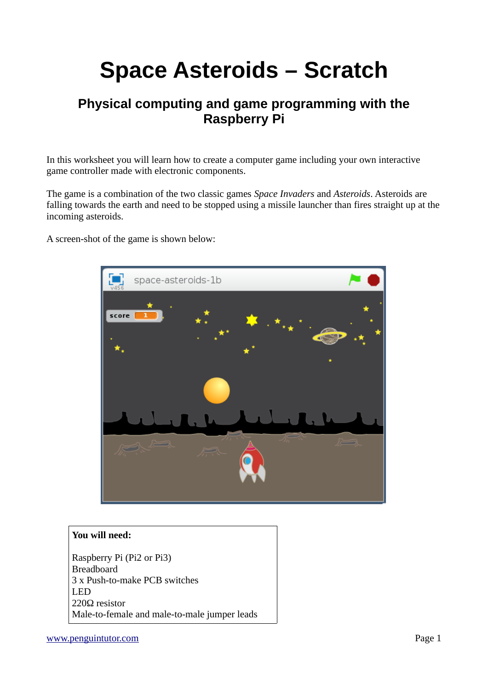# **Space Asteroids – Scratch**

# **Physical computing and game programming with the Raspberry Pi**

In this worksheet you will learn how to create a computer game including your own interactive game controller made with electronic components.

The game is a combination of the two classic games *Space Invaders* and *Asteroids*. Asteroids are falling towards the earth and need to be stopped using a missile launcher than fires straight up at the incoming asteroids.

A screen-shot of the game is shown below:



#### **You will need:**

Raspberry Pi (Pi2 or Pi3) Breadboard 3 x Push-to-make PCB switches LED 220Ω resistor Male-to-female and male-to-male jumper leads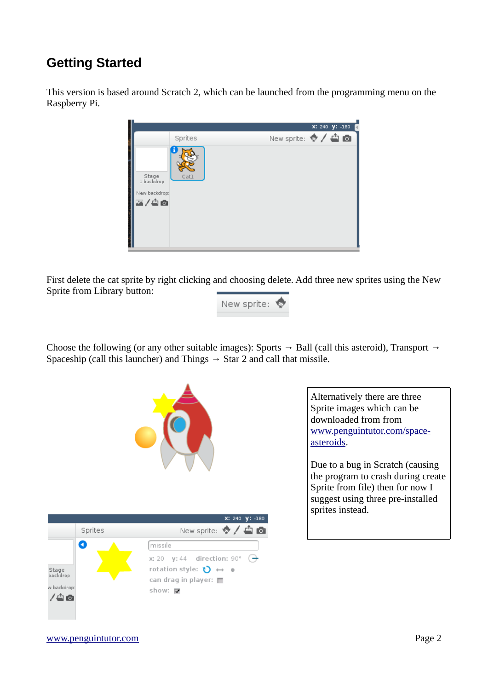# **Getting Started**

This version is based around Scratch 2, which can be launched from the programming menu on the Raspberry Pi.



First delete the cat sprite by right clicking and choosing delete. Add three new sprites using the New Sprite from Library button:



Choose the following (or any other suitable images): Sports  $\rightarrow$  Ball (call this asteroid), Transport  $\rightarrow$ Spaceship (call this launcher) and Things  $\rightarrow$  Star 2 and call that missile.





Alternatively there are three Sprite images which can be downloaded from from [www.penguintutor.com/space](http://www.penguintutor.com/space-asteroids)[asteroids.](http://www.penguintutor.com/space-asteroids)

Due to a bug in Scratch (causing the program to crash during create Sprite from file) then for now I suggest using three pre-installed sprites instead.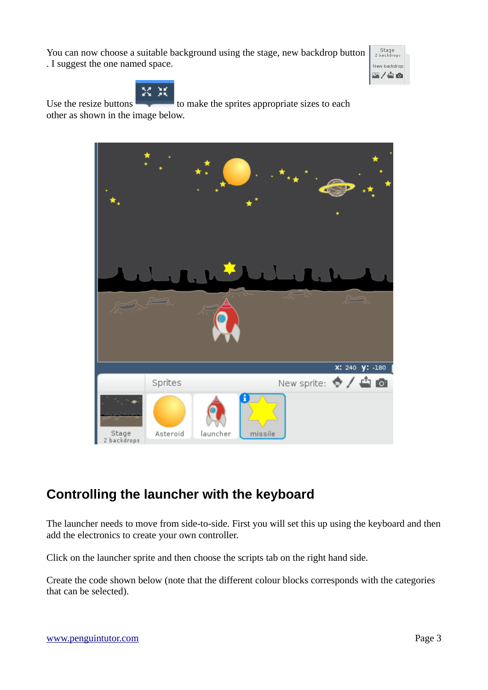You can now choose a suitable background using the stage, new backdrop button . I suggest the one named space.





Use the resize buttons to make the sprites appropriate sizes to each other as shown in the image below.



# **Controlling the launcher with the keyboard**

The launcher needs to move from side-to-side. First you will set this up using the keyboard and then add the electronics to create your own controller.

Click on the launcher sprite and then choose the scripts tab on the right hand side.

Create the code shown below (note that the different colour blocks corresponds with the categories that can be selected).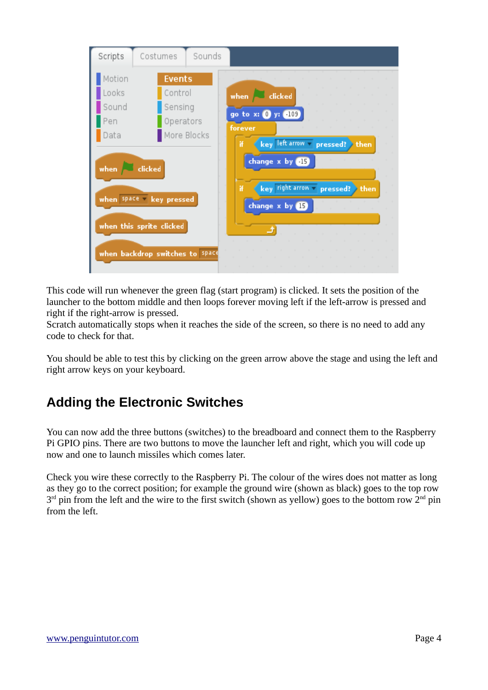

This code will run whenever the green flag (start program) is clicked. It sets the position of the launcher to the bottom middle and then loops forever moving left if the left-arrow is pressed and right if the right-arrow is pressed.

Scratch automatically stops when it reaches the side of the screen, so there is no need to add any code to check for that.

You should be able to test this by clicking on the green arrow above the stage and using the left and right arrow keys on your keyboard.

# **Adding the Electronic Switches**

You can now add the three buttons (switches) to the breadboard and connect them to the Raspberry Pi GPIO pins. There are two buttons to move the launcher left and right, which you will code up now and one to launch missiles which comes later.

Check you wire these correctly to the Raspberry Pi. The colour of the wires does not matter as long as they go to the correct position; for example the ground wire (shown as black) goes to the top row  $3<sup>rd</sup>$  pin from the left and the wire to the first switch (shown as yellow) goes to the bottom row  $2<sup>nd</sup>$  pin from the left.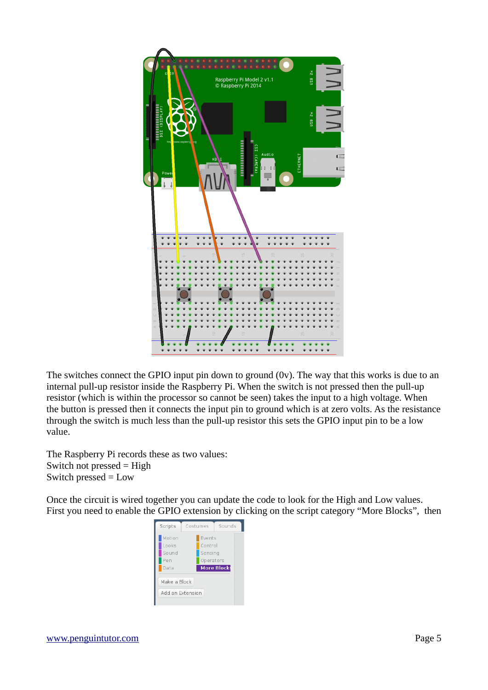

The switches connect the GPIO input pin down to ground (0v). The way that this works is due to an internal pull-up resistor inside the Raspberry Pi. When the switch is not pressed then the pull-up resistor (which is within the processor so cannot be seen) takes the input to a high voltage. When the button is pressed then it connects the input pin to ground which is at zero volts. As the resistance through the switch is much less than the pull-up resistor this sets the GPIO input pin to be a low value.

The Raspberry Pi records these as two values: Switch not pressed = High Switch pressed = Low

Once the circuit is wired together you can update the code to look for the High and Low values. First you need to enable the GPIO extension by clicking on the script category "More Blocks", then

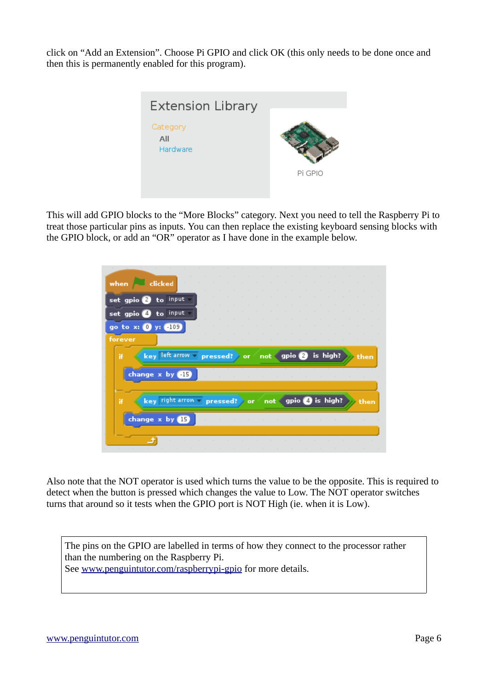click on "Add an Extension". Choose Pi GPIO and click OK (this only needs to be done once and then this is permanently enabled for this program).



This will add GPIO blocks to the "More Blocks" category. Next you need to tell the Raspberry Pi to treat those particular pins as inputs. You can then replace the existing keyboard sensing blocks with the GPIO block, or add an "OR" operator as I have done in the example below.

| when clicked                       |  |  |  |                     |  |          |  |  |      |  |
|------------------------------------|--|--|--|---------------------|--|----------|--|--|------|--|
| set gpio 2 to input                |  |  |  |                     |  |          |  |  |      |  |
| set gpio @ to input                |  |  |  |                     |  |          |  |  |      |  |
| go to x: 0 y: 4109                 |  |  |  |                     |  |          |  |  |      |  |
| forever                            |  |  |  |                     |  |          |  |  |      |  |
| key left arrow v pressed? or<br>Ħ. |  |  |  | not gpio 2          |  | is high? |  |  | then |  |
|                                    |  |  |  |                     |  |          |  |  |      |  |
| change x by <b>BB</b>              |  |  |  |                     |  |          |  |  |      |  |
| key right arrow = pressed? or<br>Ħ |  |  |  | not gpio 4 is high? |  |          |  |  | then |  |
| change x by 15                     |  |  |  |                     |  |          |  |  |      |  |

Also note that the NOT operator is used which turns the value to be the opposite. This is required to detect when the button is pressed which changes the value to Low. The NOT operator switches turns that around so it tests when the GPIO port is NOT High (ie. when it is Low).

The pins on the GPIO are labelled in terms of how they connect to the processor rather than the numbering on the Raspberry Pi. See [www.penguintutor.com/raspberrypi-gpio](http://www.penguintutor.com/raspberrypi-gpio) for more details.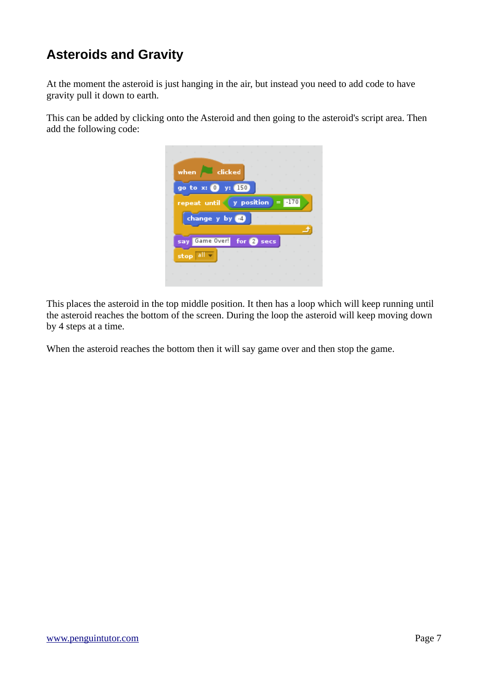# **Asteroids and Gravity**

At the moment the asteroid is just hanging in the air, but instead you need to add code to have gravity pull it down to earth.

This can be added by clicking onto the Asteroid and then going to the asteroid's script area. Then add the following code:

| ×                                                                                                               | and the company of the company of the company of the company of the company of the company of the company of the company of the company of the company of the company of the company of the company of the company of the comp |  | the contract of the contract of the contract of the contract of the contract of |  |
|-----------------------------------------------------------------------------------------------------------------|--------------------------------------------------------------------------------------------------------------------------------------------------------------------------------------------------------------------------------|--|---------------------------------------------------------------------------------|--|
| when clicked                                                                                                    |                                                                                                                                                                                                                                |  | the contract of the contract of the con-                                        |  |
|                                                                                                                 |                                                                                                                                                                                                                                |  | the contract of the contract of the                                             |  |
| go to $x: ①$ y: $150$                                                                                           |                                                                                                                                                                                                                                |  |                                                                                 |  |
| repeat until $(y$ position $) = 11/0$                                                                           |                                                                                                                                                                                                                                |  |                                                                                 |  |
|                                                                                                                 |                                                                                                                                                                                                                                |  |                                                                                 |  |
| change y by 4                                                                                                   |                                                                                                                                                                                                                                |  |                                                                                 |  |
|                                                                                                                 |                                                                                                                                                                                                                                |  |                                                                                 |  |
|                                                                                                                 |                                                                                                                                                                                                                                |  |                                                                                 |  |
|                                                                                                                 |                                                                                                                                                                                                                                |  |                                                                                 |  |
| Game Over! for 2 secs<br>say.                                                                                   |                                                                                                                                                                                                                                |  | a ka                                                                            |  |
|                                                                                                                 | And the state of the state of the state of the state of the state of the state of the state of the state of the                                                                                                                |  |                                                                                 |  |
| stop all -                                                                                                      |                                                                                                                                                                                                                                |  |                                                                                 |  |
| And the state of the state of the state of the state of the state of the state of the state of the state of the |                                                                                                                                                                                                                                |  |                                                                                 |  |
| the contract of the contract of the contract of the contract of the contract of the contract of the contract of |                                                                                                                                                                                                                                |  |                                                                                 |  |

This places the asteroid in the top middle position. It then has a loop which will keep running until the asteroid reaches the bottom of the screen. During the loop the asteroid will keep moving down by 4 steps at a time.

When the asteroid reaches the bottom then it will say game over and then stop the game.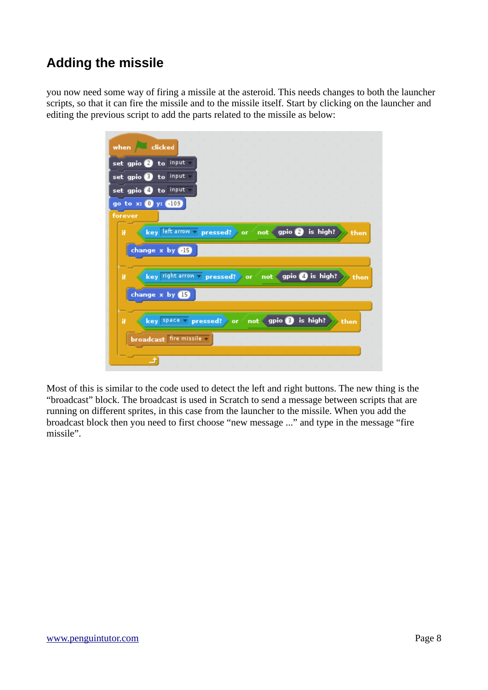# **Adding the missile**

you now need some way of firing a missile at the asteroid. This needs changes to both the launcher scripts, so that it can fire the missile and to the missile itself. Start by clicking on the launcher and editing the previous script to add the parts related to the missile as below:

| when clicked                                                        |      |
|---------------------------------------------------------------------|------|
| set gpio a to input                                                 |      |
| set gpio 8 to input                                                 |      |
| set gpio @ to input                                                 |      |
| go to x: 0 y: 4109                                                  |      |
| forever                                                             |      |
| key left arrow = pressed? or<br>is high?<br>not gpio<br>Ħ           | then |
|                                                                     |      |
| change x by <b>BB</b>                                               |      |
|                                                                     |      |
| not gpio 4 is high?<br>key right arrow - pressed? or<br>Ħ           | then |
|                                                                     |      |
|                                                                     |      |
| change x by B                                                       |      |
|                                                                     |      |
| gpio 8 is high?<br>key space pressed?<br>Ħ<br>not 4<br>∤ or<br>then |      |
| broadcast fire missile v                                            |      |
|                                                                     |      |

Most of this is similar to the code used to detect the left and right buttons. The new thing is the "broadcast" block. The broadcast is used in Scratch to send a message between scripts that are running on different sprites, in this case from the launcher to the missile. When you add the broadcast block then you need to first choose "new message ..." and type in the message "fire missile".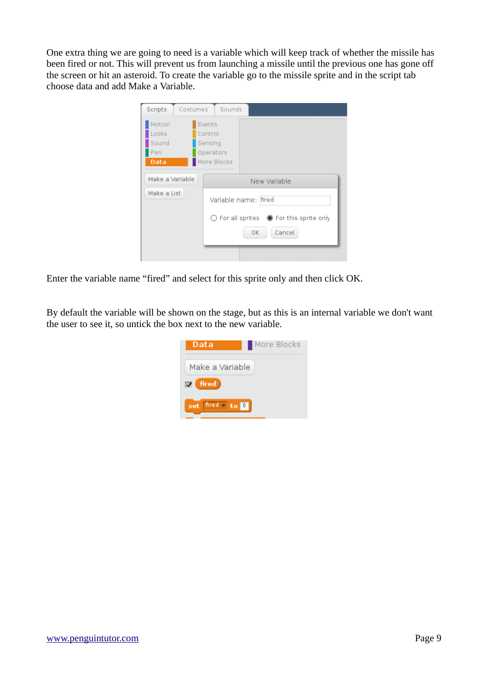One extra thing we are going to need is a variable which will keep track of whether the missile has been fired or not. This will prevent us from launching a missile until the previous one has gone off the screen or hit an asteroid. To create the variable go to the missile sprite and in the script tab choose data and add Make a Variable.

| Scripts                                 | Costumes<br>Sounds                                                                                                                                                                                                             |  |
|-----------------------------------------|--------------------------------------------------------------------------------------------------------------------------------------------------------------------------------------------------------------------------------|--|
| Motion<br>Looks<br>Sound<br>Pen<br>Data | Events<br>and the state of the state of the state of the state of the state of the state of the state of the state of the<br>Control<br>Sensing<br>Operators<br>More Blocks<br>the contract of the contract of the contract of |  |
| Make a Variable                         | New Variable                                                                                                                                                                                                                   |  |
| Make a List                             | Variable name: fired                                                                                                                                                                                                           |  |
|                                         | $\bigcirc$ For all sprites $\bigcirc$ For this sprite only<br>Cancel<br>OK                                                                                                                                                     |  |
|                                         |                                                                                                                                                                                                                                |  |

Enter the variable name "fired" and select for this sprite only and then click OK.

By default the variable will be shown on the stage, but as this is an internal variable we don't want the user to see it, so untick the box next to the new variable.

| Data                                                              | More Blocks |
|-------------------------------------------------------------------|-------------|
| Make a Variable                                                   |             |
| fired                                                             |             |
| fired $\overline{\phantom{a}}$ to $\overline{\phantom{a}}$<br>set |             |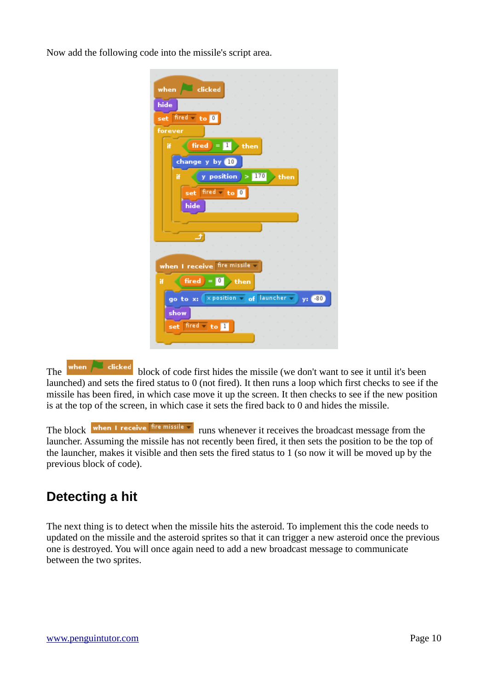Now add the following code into the missile's script area.

|         | when dicked                                                    |
|---------|----------------------------------------------------------------|
|         |                                                                |
| hide    |                                                                |
|         | set fired to 0                                                 |
|         |                                                                |
| forever |                                                                |
| Ħ       | fired $\overline{\phantom{a}}$ = $\overline{\phantom{a}}$ then |
|         | change y by <b>10</b>                                          |
|         | y position $>170$ then<br>Ħ                                    |
|         |                                                                |
|         | set fired - to 0                                               |
|         | hide                                                           |
|         |                                                                |
|         |                                                                |
|         | ⅎ                                                              |
|         |                                                                |
|         |                                                                |
|         | when I receive fire missile                                    |
| Ħ       | $first = 1$ then                                               |
|         | go to x:   x position = of launcher =<br>$-80$<br>y:           |
|         | show                                                           |
|         | set fired to I                                                 |
|         |                                                                |
|         |                                                                |
|         |                                                                |

The when **the clicked** block of code first hides the missile (we don't want to see it until it's been launched) and sets the fired status to 0 (not fired). It then runs a loop which first checks to see if the missile has been fired, in which case move it up the screen. It then checks to see if the new position is at the top of the screen, in which case it sets the fired back to 0 and hides the missile.

The block when I receive fire missile v runs whenever it receives the broadcast message from the launcher. Assuming the missile has not recently been fired, it then sets the position to be the top of the launcher, makes it visible and then sets the fired status to 1 (so now it will be moved up by the previous block of code).

# **Detecting a hit**

The next thing is to detect when the missile hits the asteroid. To implement this the code needs to updated on the missile and the asteroid sprites so that it can trigger a new asteroid once the previous one is destroyed. You will once again need to add a new broadcast message to communicate between the two sprites.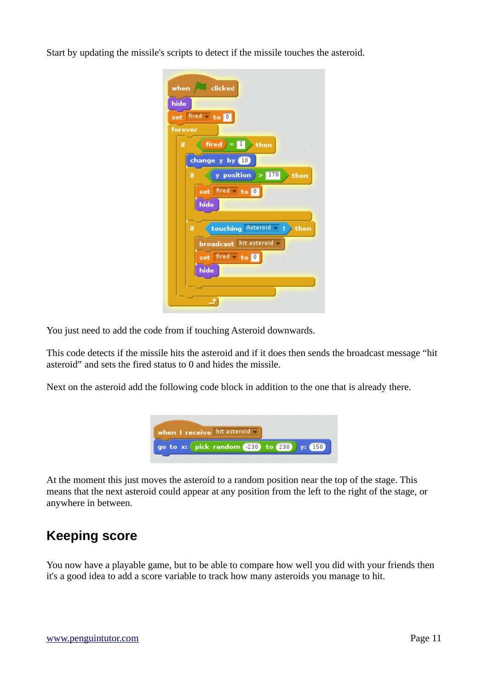Start by updating the missile's scripts to detect if the missile touches the asteroid.

| when dicked                        |
|------------------------------------|
| hide                               |
| set fired - to 0                   |
| forever                            |
| fired $=$ $\blacksquare$ then<br>Ħ |
| change y by <b>D</b>               |
| y position $> 170$<br>Ħ<br>then    |
| set fired to 0                     |
| hide                               |
|                                    |
| touching Asteroid - ?<br>Ħ<br>then |
| <b>broadcast</b> hit asteroid -    |
| set fired to <b>U</b>              |
| hide                               |
|                                    |
|                                    |

You just need to add the code from if touching Asteroid downwards.

This code detects if the missile hits the asteroid and if it does then sends the broadcast message "hit asteroid" and sets the fired status to 0 and hides the missile.

Next on the asteroid add the following code block in addition to the one that is already there.



At the moment this just moves the asteroid to a random position near the top of the stage. This means that the next asteroid could appear at any position from the left to the right of the stage, or anywhere in between.

# **Keeping score**

You now have a playable game, but to be able to compare how well you did with your friends then it's a good idea to add a score variable to track how many asteroids you manage to hit.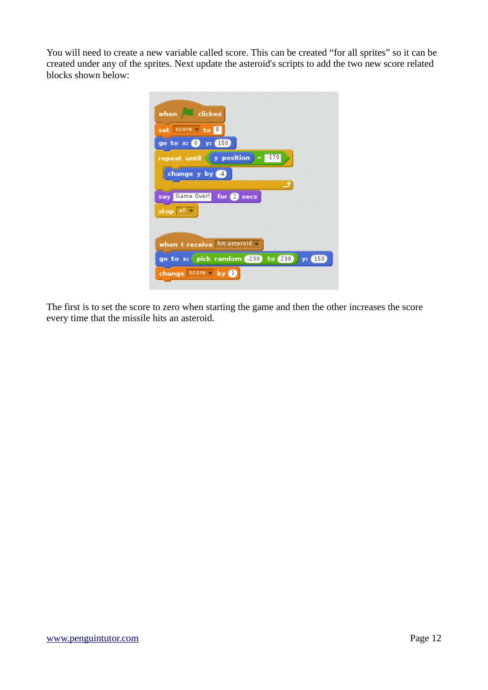You will need to create a new variable called score. This can be created "for all sprites" so it can be created under any of the sprites. Next update the asteroid's scripts to add the two new score related blocks shown below:

| when dicked                                  |
|----------------------------------------------|
|                                              |
| set score - to 0                             |
| y: 150<br>go to x: 0                         |
| repeat until $\langle$ y position<br>$-170$  |
| change y by (4)                              |
|                                              |
| Game Over!<br>for <b>2</b> secs<br>say       |
| stop all                                     |
|                                              |
|                                              |
| when I receive hit asteroid                  |
| go to x: pick random 280 to 280<br>150<br>v: |
| score<br>change<br>Ьv                        |
|                                              |

The first is to set the score to zero when starting the game and then the other increases the score every time that the missile hits an asteroid.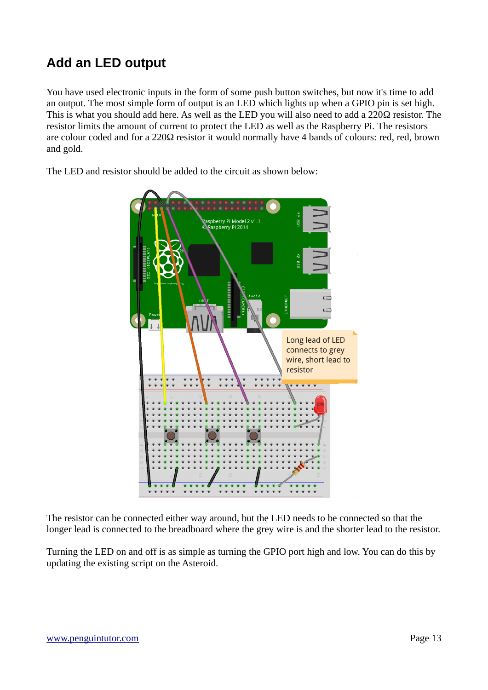# **Add an LED output**

You have used electronic inputs in the form of some push button switches, but now it's time to add an output. The most simple form of output is an LED which lights up when a GPIO pin is set high. This is what you should add here. As well as the LED you will also need to add a 220Ω resistor. The resistor limits the amount of current to protect the LED as well as the Raspberry Pi. The resistors are colour coded and for a 220Ω resistor it would normally have 4 bands of colours: red, red, brown and gold.



The LED and resistor should be added to the circuit as shown below:

The resistor can be connected either way around, but the LED needs to be connected so that the longer lead is connected to the breadboard where the grey wire is and the shorter lead to the resistor.

Turning the LED on and off is as simple as turning the GPIO port high and low. You can do this by updating the existing script on the Asteroid.